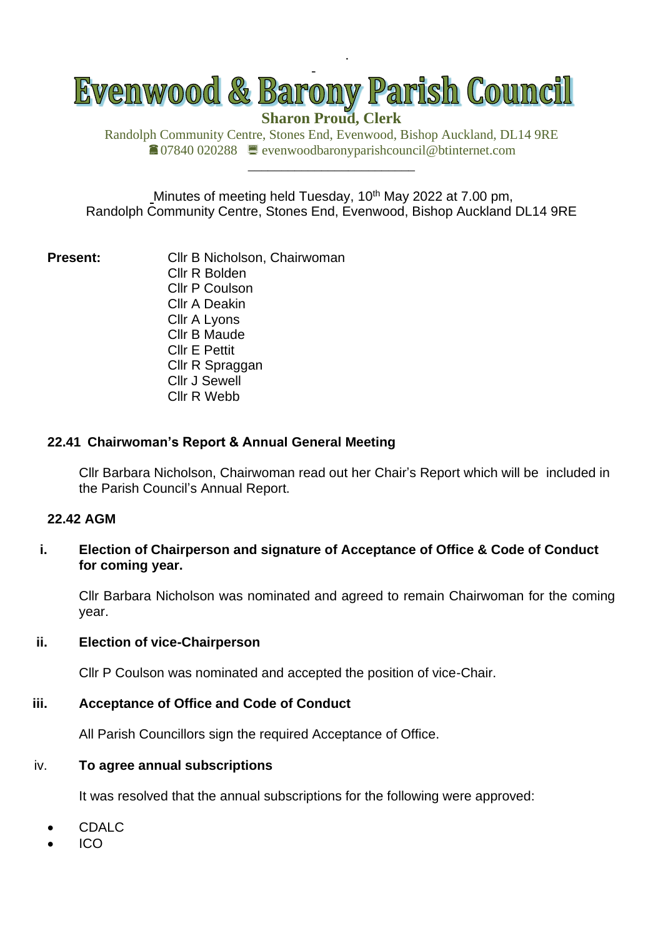

**Sharon Proud, Clerk**

.

Randolph Community Centre, Stones End, Evenwood, Bishop Auckland, DL14 9RE 07840 020288 evenwoodbaronyparishcouncil@btinternet.com

\_\_\_\_\_\_\_\_\_\_\_\_\_\_\_\_\_\_\_\_\_\_\_\_\_

Minutes of meeting held Tuesday, 10<sup>th</sup> May 2022 at 7.00 pm, Randolph Community Centre, Stones End, Evenwood, Bishop Auckland DL14 9RE

**Present:** Cllr B Nicholson, Chairwoman Cllr R Bolden Cllr P Coulson Cllr A Deakin Cllr A Lyons Cllr B Maude Cllr E Pettit Cllr R Spraggan Cllr J Sewell Cllr R Webb

### **22.41 Chairwoman's Report & Annual General Meeting**

Cllr Barbara Nicholson, Chairwoman read out her Chair's Report which will be included in the Parish Council's Annual Report.

# **22.42 AGM**

**i. Election of Chairperson and signature of Acceptance of Office & Code of Conduct for coming year.**

Cllr Barbara Nicholson was nominated and agreed to remain Chairwoman for the coming year.

### **ii. Election of vice-Chairperson**

Cllr P Coulson was nominated and accepted the position of vice-Chair.

### **iii. Acceptance of Office and Code of Conduct**

All Parish Councillors sign the required Acceptance of Office.

### iv. **To agree annual subscriptions**

It was resolved that the annual subscriptions for the following were approved:

- CDALC
- ICO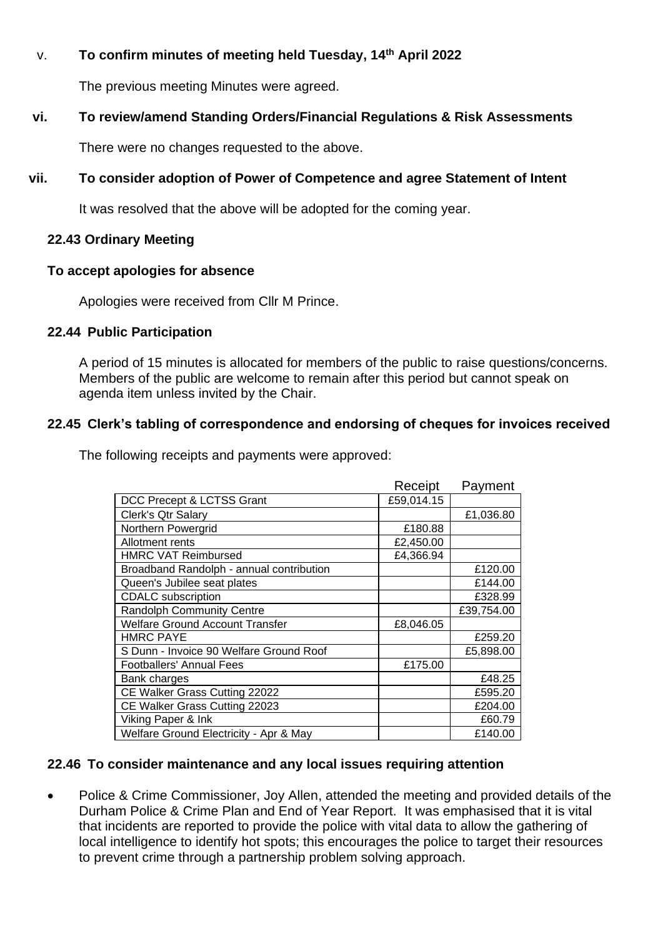## v. **To confirm minutes of meeting held Tuesday, 14 th April 2022**

The previous meeting Minutes were agreed.

# **vi. To review/amend Standing Orders/Financial Regulations & Risk Assessments**

There were no changes requested to the above.

# **vii. To consider adoption of Power of Competence and agree Statement of Intent**

It was resolved that the above will be adopted for the coming year.

## **22.43 Ordinary Meeting**

### **To accept apologies for absence**

Apologies were received from Cllr M Prince.

## **22.44 Public Participation**

A period of 15 minutes is allocated for members of the public to raise questions/concerns. Members of the public are welcome to remain after this period but cannot speak on agenda item unless invited by the Chair.

# **22.45 Clerk's tabling of correspondence and endorsing of cheques for invoices received**

The following receipts and payments were approved:

|                                          | Receipt    | Payment    |
|------------------------------------------|------------|------------|
| DCC Precept & LCTSS Grant                | £59,014.15 |            |
| Clerk's Qtr Salary                       |            | £1,036.80  |
| Northern Powergrid                       | £180.88    |            |
| Allotment rents                          | £2,450.00  |            |
| <b>HMRC VAT Reimbursed</b>               | £4,366.94  |            |
| Broadband Randolph - annual contribution |            | £120.00    |
| Queen's Jubilee seat plates              |            | £144.00    |
| <b>CDALC</b> subscription                |            | £328.99    |
| <b>Randolph Community Centre</b>         |            | £39,754.00 |
| <b>Welfare Ground Account Transfer</b>   | £8,046.05  |            |
| <b>HMRC PAYE</b>                         |            | £259.20    |
| S Dunn - Invoice 90 Welfare Ground Roof  |            | £5,898.00  |
| <b>Footballers' Annual Fees</b>          | £175.00    |            |
| Bank charges                             |            | £48.25     |
| CE Walker Grass Cutting 22022            |            | £595.20    |
| CE Walker Grass Cutting 22023            |            | £204.00    |
| Viking Paper & Ink                       |            | £60.79     |
| Welfare Ground Electricity - Apr & May   |            | £140.00    |

## **22.46 To consider maintenance and any local issues requiring attention**

• Police & Crime Commissioner, Joy Allen, attended the meeting and provided details of the Durham Police & Crime Plan and End of Year Report. It was emphasised that it is vital that incidents are reported to provide the police with vital data to allow the gathering of local intelligence to identify hot spots; this encourages the police to target their resources to prevent crime through a partnership problem solving approach.